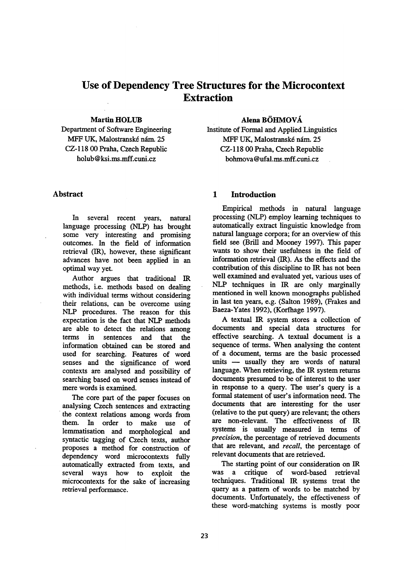# **Use of Dependency Tree Structures for the Microcontext Extraction**

#### Martin **HOLUB**

Department of Software Engineering MFF UK, Malostranské nám. 25 CZ-118 00 Praha, Czech Republic holub @ ksi.ms.mff.cuni.cz

# Alena **BOI-IMOVA**

Institute of Formal and Applied Linguistics MFF UK, Malostranské nám. 25 CZ-118 00 Praha, Czech Republic bohmova @ufal.ms.mff.cuni.cz

# **Abstract**

In several recent years, natural language processing (NLP) has brought some very interesting and promising outcomes. In the field of information retrieval (IR), however, these significant advances have not been applied in an optimal way yet.

Author argues that traditional IR methods, i.e. methods based on dealing with individual terms without considering their relations, can be overcome using NLP procedures. The reason for this expectation is the fact that NLP methods are able to detect the relations among terms in sentences and that the information obtained can be stored and used for searching. Features of word senses and the significance of word contexts are analysed and possibility of searching based on word senses instead of mere words is examined.

The core part of the paper focuses on analysing Czech sentences and extracting the context relations among words from them. In order to make use of lemmatisation and morphological and syntactic tagging of Czech texts, author proposes a method for construction of dependency word microcontexts fully automatically extracted from texts, and several ways how to exploit the microcontexts for the sake of increasing retrieval performance.

# **1 Introduction**

Empirical methods in natural language processing (NLP) employ learning techniques to automatically extract linguistic knowledge from natural language corpora; for an overview of this field see (Bfill and Mooney 1997). This paper wants to show their usefulness in the field of information retrieval (IR). As the effects and the contribution of this discipline to IR has not been well examined and evaluated yet, various uses of NLP techniques in IR are only marginally mentioned in well known monographs published in last ten years, e.g. (Salton 1989), (Frakes and Baeza-Yates 1992), (Korfhage 1997).

A textual IR system stores a collection of documents and special data structures for effective searching. A textual document is a sequence of terms. When analysing the content of a document, terms are the basic processed units -- usually they are words of natural language. When retrieving, the IR system returns documents presumed to be of interest to the user in response to a query. The user's query is a formal statement of user's information need. The documents that are interesting for the user (relative to the put query) are relevant; the others are non-relevant. The effectiveness of IR systems is usually measured in terms of *precision, the* percentage of retrieved documents that are relevant, and *recall*, the percentage of relevant documents that are retrieved.

The starting point of our consideration on IR was a critique of word-based retrieval techniques. Traditional IR systems treat the query as a pattern of words to be matched by documents. Unfortunately, the effectiveness of these word-matching systems is mostly poor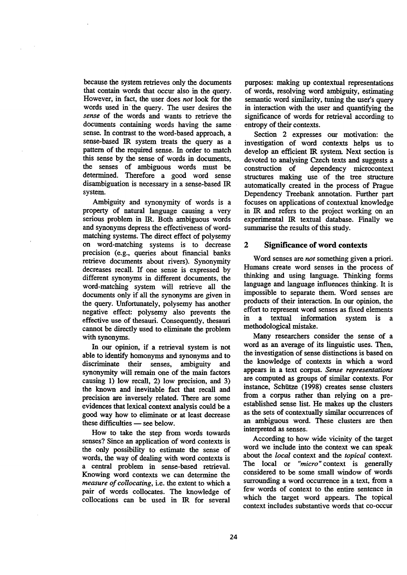because the system retrieves only the documents that contain words that occur also in the query. However, in fact, the user does not look for the words used in the query. The user desires the *sense* of the words and wants to retrieve the documents containing words having the same sense. In contrast to the word-based approach, a sense-based IR system treats the query as a pattern of the required sense. In order to match this sense by the sense of words in documents, the senses of ambiguous words must be determined. Therefore a good word sense disambiguation is necessary in a sense-based IR system.

Ambiguity and synonymity of words is a property of natural language causing a very serious problem in IR. Both ambiguous words and synonyms depress the effectiveness of wordmatching systems. The direct effect of polysemy on word-matching systems is to decrease precision (e.g., queries about financial banks retrieve documents about rivers). Synonymity decreases recall. If one sense is expressed by different synonyms in different documents, the word-matching system will retrieve all the documents only if all the synonyms are given in the query. Unfortunately, polysemy has another negative effect: polysemy also prevents the effective use of thesauri. Consequently, thesauri cannot be directly used to eliminate the problem with synonyms.

In our opinion, if a retrieval system is not able to identify homonyms and synonyms and to discriminate their senses, ambiguity and synonymity will remain one of the main factors causing 1) low recall, 2) low precision, and 3) the known and inevitable fact that recall and precision are inversely related. There are some evidences that lexical context analysis could be a good way how to eliminate or at least decrease these difficulties  $-$  see below.

How to take the step from words towards senses? Since an application of word contexts is the only possibility to estimate the sense of words, the way of dealing with word contexts is a central problem in sense-based retrieval. Knowing word contexts we can determine the *measure of collocating,* i.e. the extent to which a pair of words collocates. The knowledge of collocations can be used in IR for several purposes: making up contextual representations of words, resolving word ambiguity, estimating semantic word similarity, tuning the user's query in interaction with the user and quantifying the significance of words for retrieval according to entropy of their contexts.

Section 2 expresses our motivation: the investigation of word contexts helps us to develop an efficient IR system. Next section is devoted to analysing Czech texts and suggests a construction of dependency microcontext structures making use of the tree structure automatically created in the process of Prague Dependency Treebank annotation. Further part focuses on applications of contextual knowledge in IR and refers to the project working on an experimental IR textual database. Finally we summarise the results of this study.

#### **2 Significance of word contexts**

Word senses are *not* something given a priori. Humans create word senses in the process of thinking and using language. Thinking forms language and language influences thinking. It is impossible to separate them. Word senses are products of their interaction. In our opinion, the effort to represent word senses as fixed elements in a textual information system is methodological mistake.

Many researchers consider the sense of a word as an average of its linguistic uses. Then, the investigation of sense distinctions is based on the knowledge of contexts in which a word appears in a text corpus. *Sense representations*  are computed as groups of similar contexts. For instance, Schiitze (1998) creates sense clusters from a corpus rather than relying on a preestablished sense list. He makes up the clusters as the sets of contextually similar occurrences of an ambiguous word. These clusters are then interpreted as senses.

According to how wide vicinity of the target word we include into the context we can speak about the *local* context and the *topical* context. The local or *"micro"* context is generally considered to be some small window of words surrounding a word occurrence in a text, from a few words of context to the entire sentence in which the target word appears. The topical context includes substantive words that co-occur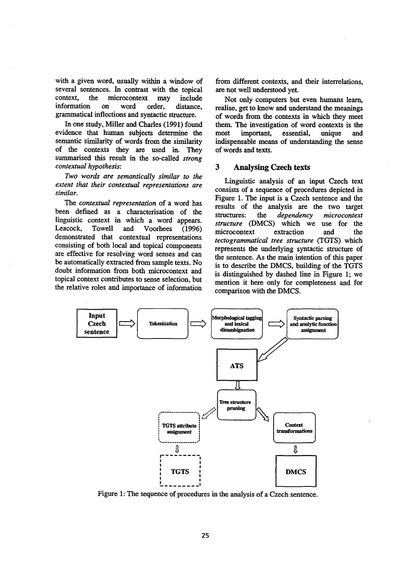with a given word, usually within a window of several sentences. In contrast with the topical context, the microcontext may include information on word order, distance, grammatical inflections and syntactic strncture.

In one study, Miller and Charles (1991) found evidence that human subjects determine the semantic similarity of words from the similarity of the contexts they are used in. They surnmarised this result in the so-called *strong contextual hypothesis:* 

*Two words are semantically similar to the extent that their contextual representations are similar.* 

*The contextual representation* of a word has been defined as a characterisation of the linguistic context in which a word appears. Leacock, Towell and Voorhees (1996) demonstrated that contextual representations consisting of both local and topical components are effective for resolving word senses and can be automatically extracted from sample texts. No doubt information from both microcontext and topical context contributes to sense selection, but the relative roles and importance of information from different contexts, and their interrelations, are not well understood yet.

Not only computers but even humans learn, realise, get to know and understand the meanings of words from the contexts in which they meet them. The investigation of word contexts is the most important, essential, unique and indispensable means of understanding the sense of words and texts.

#### **3 Analysing Czech texts**

Linguistic analysis of an input Czech text consists of a sequence of procedures depicted in Figure 1. The input is a Czech sentence and the results of the analysis are the two target structures: the *dependency microcontext structure* (DMCS) which we use for the microcontext extraction and the *tectogrammatical tree structure* (TGTS) which represents the underlying syntactic structure of the sentence. As the main intention of this paper is to describe the DMCS, building of the TGTS is distinguished by dashed line in Figure 1; we mention it here only for completeness and for comparison with the DMCS.



Figure 1: The sequence of procedures in the analysis of a Czech sentence.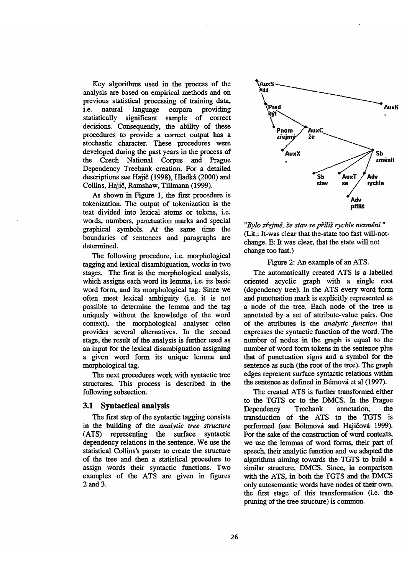Key algorithms used in the process of the analysis are based on empirical methods and on previous statistical processing of training data, i.e. natural language corpora providing statistically significant sample of correct decisions. Consequently, the ability of these procedures to provide a correct output has a stochastic character. These procedures were developed during the past years in the process of the Czech National Corpus and Prague Dependency Treebank creation. For a detailed descriptions see Hajič (1998), Hladká (2000) and Collins, Hajič, Ramshaw, Tillmann (1999).

As shown in Figure 1, the first procedure is tokenizafion. The output of tokenization is the text divided into lexical atoms or tokens, i.e. words, numbers, punctuation marks and special graphical symbols. At the same time the boundaries of sentences and paragraphs are determined.

The following procedure, i.e. morphological tagging and lexical disambiguation, works in two stages. The first is the morphological analysis, which assigns each word its lemma, i.e. its basic word form, and its morphological tag. Since we often meet lexical ambiguity (i.e. it is not possible to determine the lemma and the tag uniquely without the knowledge of the word context), the morphological analyser often provides several alternatives. In the second stage, the result of the analysis is further used as an input for the lexical disambiguation assigning a given word form its unique lemma and morphological tag.

The next procedures work with syntactic tree structures. This process is described in the following subsection.

#### 3.1 Syntactical analysis

The first step of the syntactic tagging consists in the building of the *anatytic tree structure*  (ATS) representing the surface syntactic dependency relations in the sentence. We use the statistical Collins's parser to create the structure of the tree and then a statistical procedure to assign words their syntactic functions. Two examples of the ATS are given in figures 2and 3.



"Bylo zřejmé, že stav se příliš rychle nezmění." (Lit.: It-was clear that the-state too fast will-notchange. E: It was clear, that the state will not change too fast.)

#### Figure 2: An example of an ATS.

The automatically created ATS is a labelled oriented acyclic graph with a single root (dependency tree). In the ATS every word form and punctuation mark is explicitly represented as a node of the tree. Each node of the tree is annotated by a set of attribute-value pairs. One of the attributes is the *analytic function* that expresses the syntactic function of the word. The number of nodes in the graph is equal to the number of word form tokens in the sentence plus that of punctuation signs and a symbol for the sentence as such (the root of the tree). The graph edges represent surface syntactic relations within the sentence as defined in Bémová et al (1997).

The created ATS is further transformed either to the TGTS or to the DMCS. In the Prague Dependency Treebank annotation, the transduction of the ATS to the TGTS is performed (see Böhmová and Hajičová 1999). For the sake of the construction of word contexts, we use the lemmas of word forms, their part of speech, their analytic function and we adapted the algorithms aiming towards the TGTS to build a similar structure, DMCS. Since, in comparison with the ATS, in both the TGTS and the DMCS only autosemantic words have nodes of their own, the first stage of this transformation (i.e. the pruning of the tree structure) is common.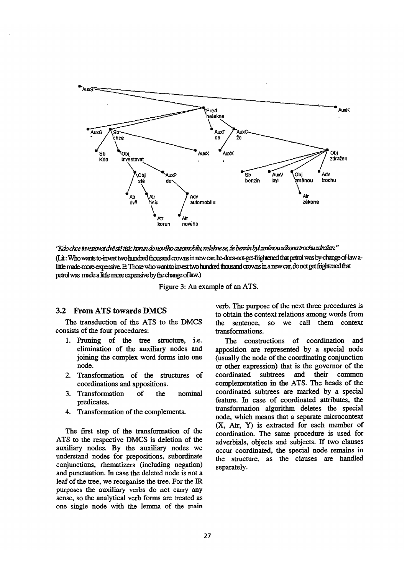

''Kdo chce investovat dvě stě tisíc konun do nového automobilu, nelekne se, že benzín byl změnou zákona trochu zdrožen.'' (Lit.: Who wants to-invest two hundred thousand crowns in new car, he-does-not-get-frightened that petrol was by-change of-law alittle made-more-expensive. E: Those who want to invest two hundred thousand crowns in a new car, do not get frightened that petrol was made a little more expensive by the change of law.)

Figure 3: An example of an ATS.

# 3.2 From ATS towards DMCS

The transduction of the ATS to the DMCS consists of the four procedures:

- 1. Pruning of the tree structure, i.e. elimination of the auxiliary nodes and joining the complex word forms into one node.
- 2. Transformation of the structures of coordinations and appositions.
- 3. Transformation of the nominal predicates.
- 4. Transformation of the complements.

The first step of the transformation of the ATS to the respective DMCS is deletion of the auxiliary nodes. By the auxiliary nodes we understand nodes for prepositions, subordinate conjunctions, rhematizers (including negation) and punctuation. In case the deleted node is not a leaf of the tree, we reorganise the tree. For the IR purposes the auxiliary verbs do not carry any sense, so the analytical verb forms are treated as one single node with the lernma of the main

verb. The purpose of the next three procedures is to obtain the context relations among words from the sentence, so we call them context transformations.

The constructions of coordination and apposition are represented by a special node (usually the node of the coordinating conjunction or other expression) that is the governor of the coordinated subtrees and their common complementation in the ATS. The heads of the coordinated subtrees are marked by a special feature. In case of coordinated attributes, the transformation algorithm deletes the special node, which means that a separate microcontext (X, Atr, Y) is extracted for each member of coordination. The same procedure is used for adverbials, objects and subjects. If two clauses occur coordinated, the special node remains in the structure, as the clauses are handled separately.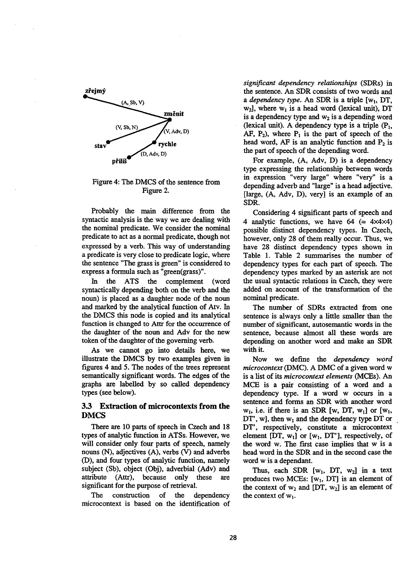

Figure 4: The DMCS of the sentence from Figure 2.

Probably the main difference from the syntactic analysis is the way we are dealing with the nominal predicate. We consider the nominal predicate to act as a normal predicate, though not expressed by a verb. This way of understanding a predicate is very close to predicate logic, where the sentence "The grass is green" is considered to express a formula such as "green(grass)".

In the ATS the complement (word syntactically depending both on the verb and the noun) is placed as a daughter node of the noun and marked by the analytical function of Atv. In the DMCS this node is copied and its analytical function is changed to Attr for the occurrence of the daughter of the noun and Adv for the new token of the daughter of the governing verb.

As we cannot go into details here, we illustrate the DMCS by two examples given in figures 4 and 5. The nodes of the trees represent semantically significant words. The edges of the graphs are labelled by so called dependency types (see below).

# **3.3 Extraction of microcontexts from the**  DMCS

There are I0 parts of speech in Czech and 18 types of analytic function in ATSs. However, we will consider only four parts of speech, namely nouns (N), adjectives (A), verbs (V) and adverbs (D), and four types of analytic function, namely subject (Sb), object (Obj), adverbial (Adv) and attribute (Attr), because only these are significant for the purpose of retrieval.

The construction of the dependency microcontext is based on the identification of *significant dependency relationships* (SDRs) in the sentence. An SDR consists of two words and *a dependency type.* An SDR is a triple [w<sub>1</sub>, DT,  $w_2$ ], where  $w_1$  is a head word (lexical unit), DT is a dependency type and  $w_2$  is a depending word (lexical unit). A dependency type is a triple  $(P_1, P_2)$ AF,  $P_2$ ), where  $P_1$  is the part of speech of the head word, AF is an analytic function and  $P_2$  is the part of speech of the depending word.

For example, (A, Adv, D) is a dependency type expressing the relationship between words in expression "very large" where "very" is a depending adverb and "large" is a head adjective. [large, (A, Adv, D), very] is an example of an SDR.

Considering 4 significant parts of speech and 4 analytic functions, we have  $64 (= 4 \times 4 \times 4)$ possible distinct dependency types. In Czech, however, only 28 of them really occur. Thus, we have 28 distinct dependency types shown in Table 1. Table 2 surnmarises the number of dependency types for each part of speech. The dependency types marked by an asterisk are not the usual syntactic relations in Czech, they were added on account of the transformation of the nominal predicate.

The number of SDRs extracted from one sentence is always only a little smaller than the number of significant, autosemantic words in the sentence, because almost all these words are depending on another word and make an SDR with **it.** 

Now we define the *dependency word microcontext* (DMC). A DMC of a given word w is a list of its *microcontext elements (MCEs). An*  MCE is a pair consisting of a word and a dependency type. If a word w occurs in a sentence and forms an SDR with another word  $w_1$ , i.e. if there is an SDR [w, DT,  $w_1$ ] or [w<sub>1</sub>,  $DT'$ , w], then  $w_1$  and the dependency type  $DT$  or DT', respectively, constitute a mierocontext element [DT,  $w_1$ ] or [ $w_1$ , DT'], respectively, of the word w. The first case implies that w is a head word in the SDR and in the second case the word w is a dependant.

Thus, each SDR  $[w_1, DT, w_2]$  in a text produces two MCEs:  $[w_1, DT]$  is an element of the context of  $w_2$  and [DT,  $w_2$ ] is an element of the context of  $w_1$ .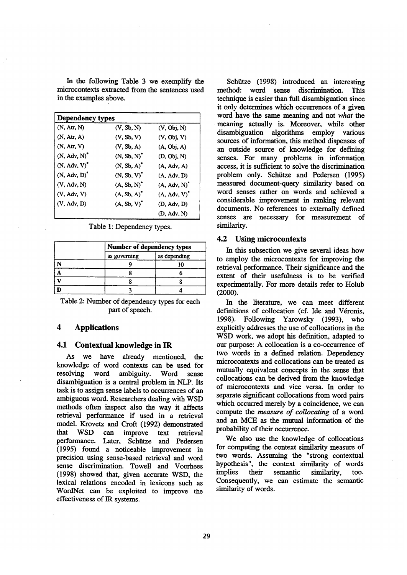In the following Table 3 we exemplify the microcontexts extracted from the sentences used in the examples above.

| Dependency types  |                  |                 |  |
|-------------------|------------------|-----------------|--|
| (N, Art, N)       | (V, Sb, N)       | (V, Obj, N)     |  |
| (N, Art, A)       | (V, Sb, V)       | (V, Obj, V)     |  |
| (N, Art, V)       | (V, Sb, A)       | (A, Obj, A)     |  |
| $(N, Adv, N)^{r}$ | $(N, Sb, N)^*$   | (D, Obj, N)     |  |
| $(N, Adv, V)^"$   | $(N, Sb, A)^{r}$ | (A, Adv, A)     |  |
| (N. Adv. D)       | $(N, Sb, V)^*$   | (A, Adv, D)     |  |
| (V, Adv, N)       | $(A, Sb, N)^T$   | (A, Adv, N)     |  |
| (V, Adv, V)       | $(A, Sb, A)^T$   | $(A, Adv, V)^T$ |  |
| (V, Adv, D)       | $(A, Sb, V)^*$   | (D. Adv. D)     |  |
|                   |                  | (D. Adv. N)     |  |

Table 1: Dependency types.

|              | Number of dependency types |  |
|--------------|----------------------------|--|
| as governing | as depending               |  |
|              |                            |  |
|              |                            |  |
|              |                            |  |
|              |                            |  |

Table 2: Number of dependency types for each part of speech.

# **4 Applications**

#### 4.1 Contextual knowledge in IR

As we have already mentioned, the knowledge of word contexts can be used for resolving word ambiguity. Word sense disambiguation is a central problem in NLP. Its task is to assign sense labels to occurrences of an ambiguous word. Researchers dealing with WSD methods often inspect also the way it affects retrieval performance if used in a retrieval model. Krovetz and Croft (1992) demonstrated that WSD can improve text retrieval performance. Later, Schiitze and Pedersen (1995) found a noticeable improvement in precision using sense-based retrieval and word sense discrimination. Towell and Voorhees (1998) showed that, given accurate WSD, the lexical relations encoded in lexicons such as WordNet can be exploited to improve the effectiveness of IR systems.

Schiitze (1998) introduced an interesting method: word sense discrimination. This technique is easier than full disambiguation since it only determines which occurrences of a given word have the same meaning and not *what the*  meaning actually is. Moreover, while other disambiguation algorithms employ various sources of information, this method dispenses of an outside source of knowledge for defining senses. For many problems in information access, it is sufficient to solve the discrimination problem only. Schiitze and Pedersen (1995) measured document-query similarity based on word senses rather on words and achieved a considerable improvement in ranking relevant documents. No references to externally defined senses are necessary for measurement of similarity.

#### 4.2 Using microcontexts

In this subsection we give several ideas how to employ the microcontexts for improving the retrieval performance. Their significance and the extent of their usefulness is to be verified experimentally. For more details refer to Holub (2000).

In the literature, we can meet different definitions of collocation (cf. Ide and Véronis, 1998). Following Yarowsky (1993), who explicitly addresses the use of collocations in the WSD work, we adopt his definition, adapted to our purpose: A collocation is a co-occurrence of two words in a defined relation. Dependency microcontexts and collocations can be treated as mutually equivalent concepts in the sense that collocations can be derived from the knowledge of microcontexts and vice versa. In order to separate significant collocations from word pairs which occurred merely by a coincidence, we can compute the *measure of collocating* of a word and an MCE as the mutual information of the probability of their occurrence.

We also use the knowledge of collocations for computing the context similarity measure of two words. Assuming the "strong contextual hypothesis", the context similarity of words implies their semantic similarity, too. Consequently, we can estimate the semantic similarity of words.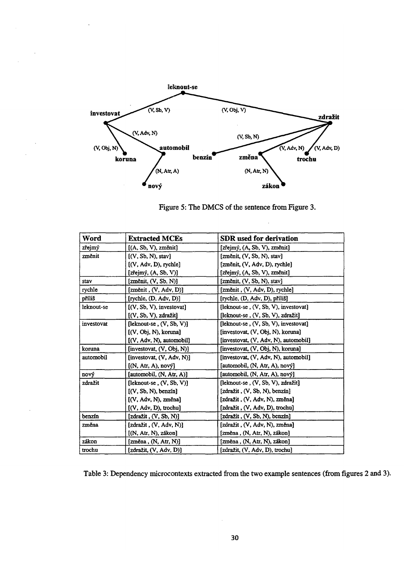

Figure 5: The DMCS of the sentence from Figure 3.

| Word       | <b>Extracted MCEs</b>                                   | SDR used for derivation               |
|------------|---------------------------------------------------------|---------------------------------------|
| zřejmý     | $[(A, Sb, V), zm \nvert in]$                            | [zřejmý, (A, Sb, V), změnit]          |
| změnit     | [(V, Sb, N), stav]                                      | [změnit, (V, Sb, N), stav]            |
|            | [(V, Adv, D), rychle]                                   | [změnit, (V, Adv, D), rychle]         |
|            | $[z \check{r}$ ejmý, $(A, Sb, V)]$                      | [zřejmý, (A, Sb, V), změnit]          |
| stav       | $[zm\text{énit}, (V, Sb, N)]$                           | [změnit, (V, Sb, N), stav]            |
| rychle     | $[zm\text{énit}, (V, Adv, D)]$                          | [změnit, (V, Adv, D), rychle]         |
| příliš     | $[\text{rvchle}, (\mathbf{D}, \text{Adv}, \mathbf{D})]$ | [rychle, (D, Adv, D), příliš]         |
| leknout-se | $[$ (V, Sb, V), investovat $]$                          | (Ileknout-se, (V, Sb, V), investovat) |
|            | $(V, Sb, V)$ , $zdražit$                                | (leknout-se, (V, Sb, V), zdražit      |
| investovat | $[leknot-se, (V, Sb, V)]$                               | [leknout-se, (V, Sb, V), investovat]  |
|            | [(V, Obj, N), koruna]                                   | [investovat, (V, Obi, N), koruna]     |
|            | $[(V, Adv, N),$ automobil]                              | [investovat, (V, Adv, N), automobil]  |
| koruna     | [investovat, (V, Obj, N)]                               | [investovat, (V, Obj, N), koruna]     |
| automobil  | [investovat, (V, Adv, N)]                               | [investovat, (V, Adv, N), automobil]  |
|            | [(N, Art, A), nov                                       | [automobil, (N, Atr, A), nový]        |
| nový       | [automobil, $(N, Art, A)$ ]                             | [automobil, (N, Atr, A), nový]        |
| zdražit    | $[leknot-se, (V, Sb, V)]$                               | fleknout-se . (V. Sb. V), zdražitl    |
|            | [(V, Sb, N), benzfn]                                    | [zdražit, (V, Sb, N), benzín]         |
|            | [(V, Adv, N), změna]                                    | [zdražit, (V, Adv, N), změna]         |
|            | [(V, Adv, D), trochu]                                   | [zdražit, (V, Adv, D), trochu]        |
| benzín     | [zdrazit, (V, Sb, N)]                                   | [zdražit, (V, Sb, N), benzín]         |
| změna      | [zdražit, (V, Adv, N)]                                  | [zdražit, (V, Adv, N), změna]         |
|            | [N, Art, N), zákon]                                     | [změna, (N, Atr, N), zákon]           |
| zákon      | $[zm\n$ e <sub>n</sub> , (N, Art, N)]                   | $[zm\n]$ ena, $(N, Art, N)$ , $zákon$ |
| trochu     | [zdražit, (V, Adv, D)]                                  | [zdražit, (V, Adv, D), trochu]        |

Table 3: Dependency microcontexts extracted from the two example sentences (from figures 2 and 3).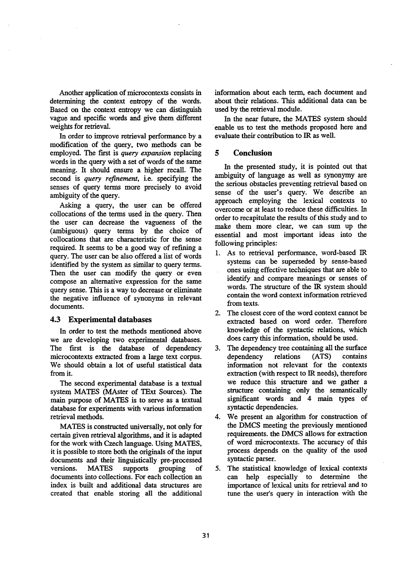Another application of microcontexts consists in determining the context entropy of the words. Based on the context entropy we can distinguish vague and specific words and give them different weights for retrieval.

In order to improve retrieval performance by a modification of the query, two methods can be employed. The first is *query expansion* replacing words in the query with a set of words of the same meaning. It should ensure a higher recall. The second is *query refinement,* i.e. specifying the senses of query terms more precisely to avoid ambiguity of the query.

Asking a query, the user can be offered collocations of the terms used in the query. Then the user can decrease the vagueness of the (ambiguous) query terms by the choice of collocations that are characteristic for the sense required. It seems to be a good way of refining a query. The user can be also offered a list of words identified by the system as similar to query terms. Then the user can modify the query or even compose an aitemative expression for the same query sense. This is a way to decrease or eliminate the negative influence of synonyms in relevant documents.

### **4.3 Experimental** databases

In order to test the methods mentioned above we are developing two experimental databases. The first is the database of dependency microcontexts extracted from a large text corpus. We should obtain a lot of useful statistical data from it.

The second experimental database is a textual system MATES (MAster of TExt Sources). The main purpose of MATES is to serve as a textual database for experiments with various information retrieval methods.

MATES is constructed universally, not only for certain given retrieval algorithms, and it is adapted for the work with Czech language. Using MATES, it is possible to store both the originals of the input documents and their linguistically pre-processed versions. MATES supports grouping of documents into collections. For each collection an index is built and additional data structures are created that enable storing all the additional

information about each term, each document and about their relations. This additional data can be used by the retrieval module.

In the near future, the MATES system should enable us to test the methods proposed here and evaluate their contribution to IR as well.

# **5 Conclusion**

In the presented study, it is pointed out that ambiguity of language as well as synonymy are the serious obstacles preventing retrieval based on sense of the user's query. We describe an approach employing the lexical contexts to overcome or at least to reduce these difficulties. In order to recapitulate the results of this study and to make them more clear, we can sum up the essential and most important ideas into the following principles:

- 1. As to retrieval performance, word-based IR systems can be superseded by sense-based ones using effective techniques that are able to identify and compare meanings or senses of words. The structure of the IR system should contain the word context information retrieved from texts.
- 2. The closest core of the word context cannot be extracted based on word order. Therefore knowledge of the syntactic relations, which does carry this information, should be used.
- 3. The dependency tree containing all the surface dependency relations (ATS) contains information not relevant for the contexts extraction (with respect to IR needs), therefore we reduce this structure and we gather a structure containing only the semantically significant words and 4 main types of syntactic dependencies.
- 4. We present an algorithm for construction of the DMCS meeting the previously mentioned requirements, the DMCS allows for extraction of word microcontexts. The accuracy of this process depends on the quality of the used syntactic parser.
- 5. The statistical knowledge of lexical contexts can help especially to determine the importance of lexical units for retrieval and to tune the user's query in interaction with the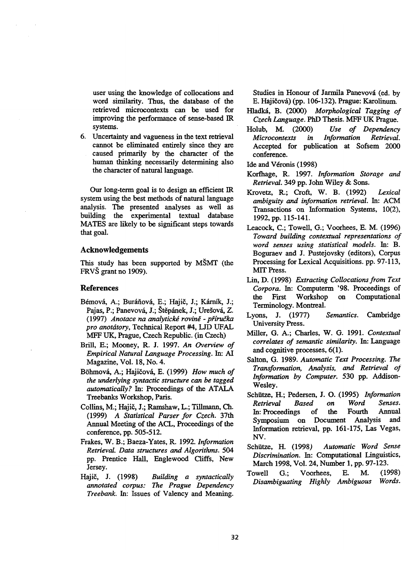user using the knowledge of collocations and word similarity. Thus, the database of the retrieved microcontexts can be used for improving the performance of sense-based IR systems.

. Uncertainty and vagueness in the text retrieval cannot be eliminated entirely since they are caused primarily by the character of the human thinking necessarily determining also the character of natural language.

Our long-term goal is to design an efficient IR system using the best methods of natural language analysis. The presented analyses as well as building the experimental textual database MATES are likely to be significant steps towards that goal.

# **Acknowledgements**

This study has been supported by MSMT (the FRVS grant no 1909).

#### **References**

- Bémová, A.; Buráňová, E.; Hajič, J.; Kárník, J.; Pajas, P.; Panevová, J.; Štěpánek, J.; Urešová, Z. (1997) *Anotace na analytickd roving- p~iru~ka pro anotdtory,* Technical Report #4, LJD UFAL MFF UK, Prague, Czech Republic. (in Czech)
- Bnll, E.; Mooney, R. J. 1997. *An Overview of Empirical Natural Language Processing. In: AI*  Magazine, Vol. 18, No. 4.
- Böhmová, A.; Hajičová, E. (1999) *How much of the underlying syntactic structure can be tagged automatically?* In: Proceedings of the ATALA Treebanks Workshop, Paris.
- Collins, M.; Hajič, J.; Ramshaw, L.; Tillmann, Ch. (1999) *A Statistical Parser for Czech.* 37th Annual Meeting of the ACL, Proceedings of the conference, pp. 505-512.
- Frakes, W. B.; Baeza-Yates, R. 1992. *Information Retrieval. Data structures and Algorithms. 504*  pp. Prentice Hall, Englewood Cliffs, New Jersey.
- Hajič, J. (1998) *Building a syntactically annotated corpus: The Prague Dependency Treebank.* In: Issues of Valency and Meaning.

Studies in Honour of Jarmila Panevová (ed. by E. Hajičová) (pp. 106-132). Prague: Karolinum.

- I-Iladkfi, B. (2000) *Morphological Tagging of Czech language.* HaD Thesis. MFF UK Prague.
- Holub, M. (2000) *Use of Dependency Microcontexts in Information Retrieval.*  Accepted for publication at Sofsem 2000 conference.
- Ide and Véronis (1998)
- Korfhage, R. 1997. *Information Storage and Retrieval.* 349 pp. John Wiley & Sons.
- Krovetz, R.; Croft, W. B. (1992) *Lexical ambiguity and information retrieval.* In: ACM Transactions on Information Systems, 10(2), 1992, pp. 115-141.
- Leacock, C.; Towell, G.; Voorhees, E. M. (1996) *Toward building contextual representations of word senses using statistical models. In: B.*  Boguraev and J. Pustejovsky (editors), Corpus Processing for Lexical Acquisitions. pp. 97-113, MIT Press.
- Lin, D. (1998) *Extracting Collocations from Text Corpora.* In: Computerm '98. Proceedings of the First Workshop on Computational Terminology. Montreal.
- Lyons, J. (1977) *Semantics.* Cambridge University Press.
- Miller, (3. A.; Charles, W. G. 1991. *Contextual correlates of semantic similarity.* In: Language and cognitive processes, 6(1):
- Salton, G. 1989. *Automatic Text Processing. The Transformation, Analysis, and Retrieval oJ Information by Computer.* 530 pp. Addison-Wesley.
- Schiitze, H.; Pedersen, J. O. (1995) *Information Retrieval Based on Word Senses.*  In: Proceedings of the Fourth Annual Symposium on Document Analysis and Information retrieval, pp. 161-175, Las Vegas, NV.
- Schiitze, H. (1998) *Automatic Word Sense Discrimination.* In: Computational Linguistics, March 1998, Vol. 24, Number 1, pp. 97-123.
- Towell G.; Voorhees, E. M. (1998) *Disambiguating Highly Ambiguous Words.*